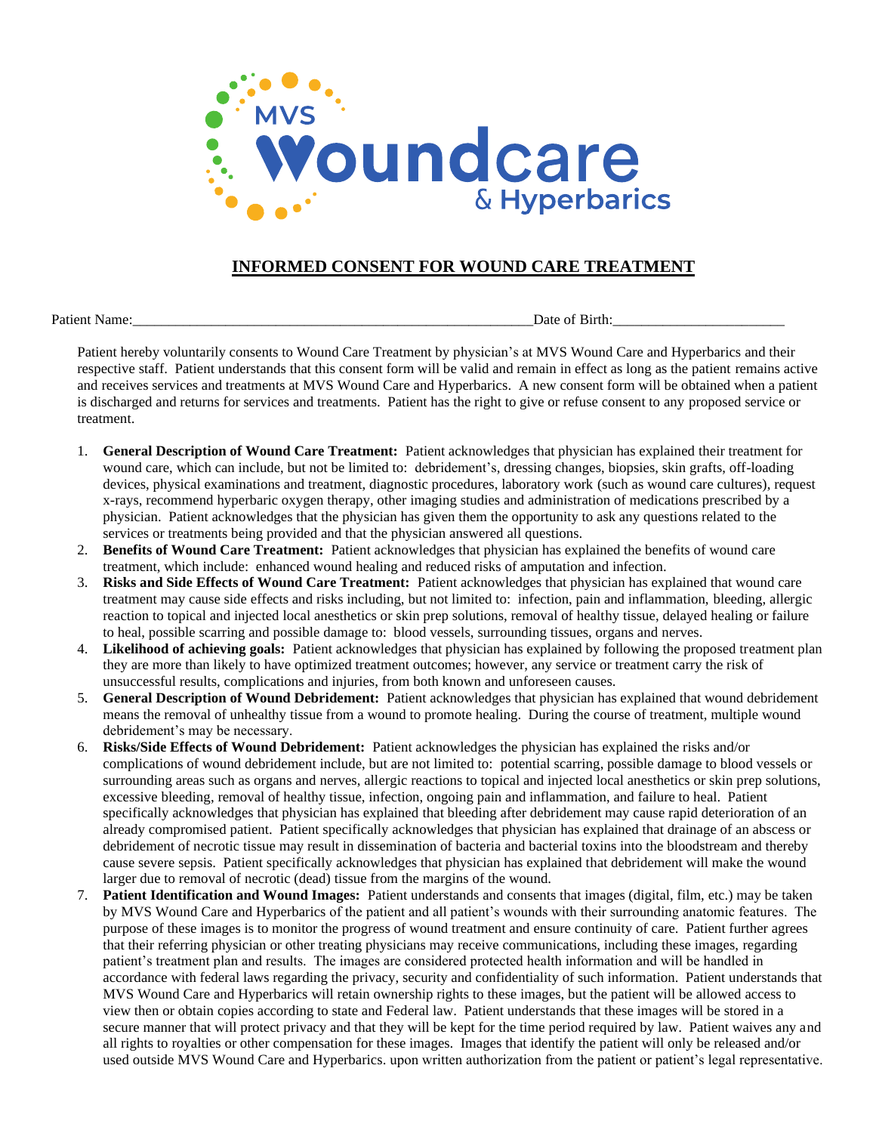

## **INFORMED CONSENT FOR WOUND CARE TREATMENT**

Patient Name:\_\_\_\_\_\_\_\_\_\_\_\_\_\_\_\_\_\_\_\_\_\_\_\_\_\_\_\_\_\_\_\_\_\_\_\_\_\_\_\_\_\_\_\_\_\_\_\_\_\_\_\_\_\_\_\_Date of Birth:\_\_\_\_\_\_\_\_\_\_\_\_\_\_\_\_\_\_\_\_\_\_\_\_

Patient hereby voluntarily consents to Wound Care Treatment by physician's at MVS Wound Care and Hyperbarics and their respective staff. Patient understands that this consent form will be valid and remain in effect as long as the patient remains active and receives services and treatments at MVS Wound Care and Hyperbarics. A new consent form will be obtained when a patient is discharged and returns for services and treatments. Patient has the right to give or refuse consent to any proposed service or treatment.

- 1. **General Description of Wound Care Treatment:** Patient acknowledges that physician has explained their treatment for wound care, which can include, but not be limited to: debridement's, dressing changes, biopsies, skin grafts, off-loading devices, physical examinations and treatment, diagnostic procedures, laboratory work (such as wound care cultures), request x-rays, recommend hyperbaric oxygen therapy, other imaging studies and administration of medications prescribed by a physician. Patient acknowledges that the physician has given them the opportunity to ask any questions related to the services or treatments being provided and that the physician answered all questions.
- 2. **Benefits of Wound Care Treatment:** Patient acknowledges that physician has explained the benefits of wound care treatment, which include: enhanced wound healing and reduced risks of amputation and infection.
- 3. **Risks and Side Effects of Wound Care Treatment:** Patient acknowledges that physician has explained that wound care treatment may cause side effects and risks including, but not limited to: infection, pain and inflammation, bleeding, allergic reaction to topical and injected local anesthetics or skin prep solutions, removal of healthy tissue, delayed healing or failure to heal, possible scarring and possible damage to: blood vessels, surrounding tissues, organs and nerves.
- 4. **Likelihood of achieving goals:** Patient acknowledges that physician has explained by following the proposed treatment plan they are more than likely to have optimized treatment outcomes; however, any service or treatment carry the risk of unsuccessful results, complications and injuries, from both known and unforeseen causes.
- 5. **General Description of Wound Debridement:** Patient acknowledges that physician has explained that wound debridement means the removal of unhealthy tissue from a wound to promote healing. During the course of treatment, multiple wound debridement's may be necessary.
- 6. **Risks/Side Effects of Wound Debridement:** Patient acknowledges the physician has explained the risks and/or complications of wound debridement include, but are not limited to: potential scarring, possible damage to blood vessels or surrounding areas such as organs and nerves, allergic reactions to topical and injected local anesthetics or skin prep solutions, excessive bleeding, removal of healthy tissue, infection, ongoing pain and inflammation, and failure to heal. Patient specifically acknowledges that physician has explained that bleeding after debridement may cause rapid deterioration of an already compromised patient. Patient specifically acknowledges that physician has explained that drainage of an abscess or debridement of necrotic tissue may result in dissemination of bacteria and bacterial toxins into the bloodstream and thereby cause severe sepsis. Patient specifically acknowledges that physician has explained that debridement will make the wound larger due to removal of necrotic (dead) tissue from the margins of the wound.
- 7. **Patient Identification and Wound Images:** Patient understands and consents that images (digital, film, etc.) may be taken by MVS Wound Care and Hyperbarics of the patient and all patient's wounds with their surrounding anatomic features. The purpose of these images is to monitor the progress of wound treatment and ensure continuity of care. Patient further agrees that their referring physician or other treating physicians may receive communications, including these images, regarding patient's treatment plan and results. The images are considered protected health information and will be handled in accordance with federal laws regarding the privacy, security and confidentiality of such information. Patient understands that MVS Wound Care and Hyperbarics will retain ownership rights to these images, but the patient will be allowed access to view then or obtain copies according to state and Federal law. Patient understands that these images will be stored in a secure manner that will protect privacy and that they will be kept for the time period required by law. Patient waives any and all rights to royalties or other compensation for these images. Images that identify the patient will only be released and/or used outside MVS Wound Care and Hyperbarics. upon written authorization from the patient or patient's legal representative.